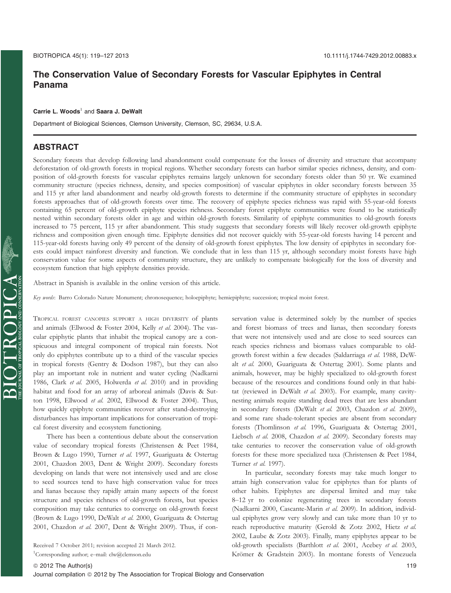# The Conservation Value of Secondary Forests for Vascular Epiphytes in Central Panama

#### Carrie L. Woods $^1$  and Saara J. DeWalt

Department of Biological Sciences, Clemson University, Clemson, SC, 29634, U.S.A.

### ABSTRACT

Secondary forests that develop following land abandonment could compensate for the losses of diversity and structure that accompany deforestation of old-growth forests in tropical regions. Whether secondary forests can harbor similar species richness, density, and composition of old-growth forests for vascular epiphytes remains largely unknown for secondary forests older than 50 yr. We examined community structure (species richness, density, and species composition) of vascular epiphytes in older secondary forests between 35 and 115 yr after land abandonment and nearby old-growth forests to determine if the community structure of epiphytes in secondary forests approaches that of old-growth forests over time. The recovery of epiphyte species richness was rapid with 55-year-old forests containing 65 percent of old-growth epiphyte species richness. Secondary forest epiphyte communities were found to be statistically nested within secondary forests older in age and within old-growth forests. Similarity of epiphyte communities to old-growth forests increased to 75 percent, 115 yr after abandonment. This study suggests that secondary forests will likely recover old-growth epiphyte richness and composition given enough time. Epiphyte densities did not recover quickly with 55-year-old forests having 14 percent and 115-year-old forests having only 49 percent of the density of old-growth forest epiphytes. The low density of epiphytes in secondary forests could impact rainforest diversity and function. We conclude that in less than 115 yr, although secondary moist forests have high conservation value for some aspects of community structure, they are unlikely to compensate biologically for the loss of diversity and ecosystem function that high epiphyte densities provide.

Abstract in Spanish is available in the online version of this article.

Key words: Barro Colorado Nature Monument; chronosequence; holoepiphyte; hemiepiphyte; succession; tropical moist forest.

TROPICAL FOREST CANOPIES SUPPORT A HIGH DIVERSITY of plants and animals (Ellwood & Foster 2004, Kelly et al. 2004). The vascular epiphytic plants that inhabit the tropical canopy are a conspicuous and integral component of tropical rain forests. Not only do epiphytes contribute up to a third of the vascular species in tropical forests (Gentry & Dodson 1987), but they can also play an important role in nutrient and water cycling (Nadkarni 1986, Clark et al. 2005, Holwerda et al. 2010) and in providing habitat and food for an array of arboreal animals (Davis & Sutton 1998, Ellwood et al. 2002, Ellwood & Foster 2004). Thus, how quickly epiphyte communities recover after stand-destroying disturbances has important implications for conservation of tropical forest diversity and ecosystem functioning.

There has been a contentious debate about the conservation value of secondary tropical forests (Christensen & Peet 1984, Brown & Lugo 1990, Turner et al. 1997, Guariguata & Ostertag 2001, Chazdon 2003, Dent & Wright 2009). Secondary forests developing on lands that were not intensively used and are close to seed sources tend to have high conservation value for trees and lianas because they rapidly attain many aspects of the forest structure and species richness of old-growth forests, but species composition may take centuries to converge on old-growth forest (Brown & Lugo 1990, DeWalt et al. 2000, Guariguata & Ostertag 2001, Chazdon et al. 2007, Dent & Wright 2009). Thus, if con-

Received 7 October 2011; revision accepted 21 March 2012.

1 Corresponding author; e–mail: clw@clemson.edu

 $\operatorname{BIOTR} \operatorname{CPOAC}_{\text{moncon}} \operatorname{BIOCR} \operatorname{C.A.}$ 

servation value is determined solely by the number of species and forest biomass of trees and lianas, then secondary forests that were not intensively used and are close to seed sources can reach species richness and biomass values comparable to oldgrowth forest within a few decades (Saldarriaga et al. 1988, DeWalt et al. 2000, Guariguata & Ostertag 2001). Some plants and animals, however, may be highly specialized to old-growth forest because of the resources and conditions found only in that habitat (reviewed in DeWalt et al. 2003). For example, many cavitynesting animals require standing dead trees that are less abundant in secondary forests (DeWalt et al. 2003, Chazdon et al. 2009), and some rare shade-tolerant species are absent from secondary forests (Thomlinson et al. 1996, Guariguata & Ostertag 2001, Liebsch et al. 2008, Chazdon et al. 2009). Secondary forests may take centuries to recover the conservation value of old-growth forests for these more specialized taxa (Christensen & Peet 1984, Turner et al. 1997).

In particular, secondary forests may take much longer to attain high conservation value for epiphytes than for plants of other habits. Epiphytes are dispersal limited and may take 8–12 yr to colonize regenerating trees in secondary forests (Nadkarni 2000, Cascante-Marin et al. 2009). In addition, individual epiphytes grow very slowly and can take more than 10 yr to reach reproductive maturity (Gerold & Zotz 2002, Hietz et al. 2002, Laube & Zotz 2003). Finally, many epiphytes appear to be old-growth specialists (Barthlott et al. 2001, Acebey et al. 2003, Krömer & Gradstein 2003). In montane forests of Venezuela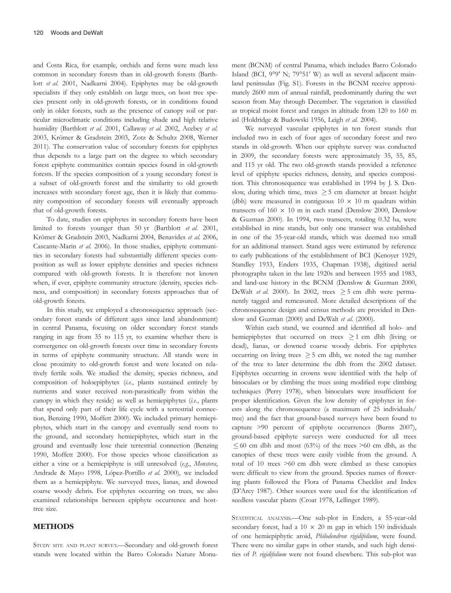and Costa Rica, for example, orchids and ferns were much less common in secondary forests than in old-growth forests (Barthlott et al. 2001, Nadkarni 2004). Epiphytes may be old-growth specialists if they only establish on large trees, on host tree species present only in old-growth forests, or in conditions found only in older forests, such as the presence of canopy soil or particular microclimatic conditions including shade and high relative humidity (Barthlott et al. 2001, Callaway et al. 2002, Acebey et al. 2003, Krömer & Gradstein 2003, Zotz & Schultz 2008, Werner 2011). The conservation value of secondary forests for epiphytes thus depends to a large part on the degree to which secondary forest epiphyte communities contain species found in old-growth forests. If the species composition of a young secondary forest is a subset of old-growth forest and the similarity to old growth increases with secondary forest age, then it is likely that community composition of secondary forests will eventually approach that of old-growth forests.

To date, studies on epiphytes in secondary forests have been limited to forests younger than 50 yr (Barthlott et al. 2001, Krömer & Gradstein 2003, Nadkarni 2004, Benavides et al. 2006, Cascante-Marin et al. 2006). In those studies, epiphyte communities in secondary forests had substantially different species composition as well as lower epiphyte densities and species richness compared with old-growth forests. It is therefore not known when, if ever, epiphyte community structure (density, species richness, and composition) in secondary forests approaches that of old-growth forests.

In this study, we employed a chronosequence approach (secondary forest stands of different ages since land abandonment) in central Panama, focusing on older secondary forest stands ranging in age from 35 to 115 yr, to examine whether there is convergence on old-growth forests over time in secondary forests in terms of epiphyte community structure. All stands were in close proximity to old-growth forest and were located on relatively fertile soils. We studied the density, species richness, and composition of holoepiphytes (i.e., plants sustained entirely by nutrients and water received non-parasitically from within the canopy in which they reside) as well as hemiepiphytes (i.e., plants that spend only part of their life cycle with a terrestrial connection, Benzing 1990, Moffett 2000). We included primary hemiepiphytes, which start in the canopy and eventually send roots to the ground, and secondary hemiepiphytes, which start in the ground and eventually lose their terrestrial connection (Benzing 1990, Moffett 2000). For those species whose classification as either a vine or a hemiepiphyte is still unresolved (e.g., Monstera, Andrade & Mayo 1998, López-Portillo et al. 2000), we included them as a hemiepiphyte. We surveyed trees, lianas, and downed coarse woody debris. For epiphytes occurring on trees, we also examined relationships between epiphyte occurrence and hosttree size.

### METHODS

STUDY SITE AND PLANT SURVEY.—Secondary and old-growth forest stands were located within the Barro Colorado Nature Monument (BCNM) of central Panama, which includes Barro Colorado Island (BCI, 9°9′ N; 79°51′ W) as well as several adjacent mainland peninsulas (Fig. S1). Forests in the BCNM receive approximately 2600 mm of annual rainfall, predominantly during the wet season from May through December. The vegetation is classified as tropical moist forest and ranges in altitude from 120 to 160 m asl (Holdridge & Budowski 1956, Leigh et al. 2004).

We surveyed vascular epiphytes in ten forest stands that included two in each of four ages of secondary forest and two stands in old-growth. When our epiphyte survey was conducted in 2009, the secondary forests were approximately 35, 55, 85, and 115 yr old. The two old-growth stands provided a reference level of epiphyte species richness, density, and species composition. This chronosequence was established in 1994 by J. S. Denslow, during which time, trees  $\geq$  5 cm diameter at breast height (dbh) were measured in contiguous  $10 \times 10$  m quadrats within transects of  $160 \times 10$  m in each stand (Denslow 2000, Denslow & Guzman 2000). In 1994, two transects, totaling 0.32 ha, were established in nine stands, but only one transect was established in one of the 35-year-old stands, which was deemed too small for an additional transect. Stand ages were estimated by reference to early publications of the establishment of BCI (Kenoyer 1929, Standley 1933, Enders 1935, Chapman 1938), digitized aerial photographs taken in the late 1920s and between 1955 and 1983, and land-use history in the BCNM (Denslow & Guzman 2000, DeWalt et al. 2000). In 2002, trees  $\geq$  5 cm dbh were permanently tagged and remeasured. More detailed descriptions of the chronosequence design and census methods are provided in Denslow and Guzman (2000) and DeWalt et al. (2000).

Within each stand, we counted and identified all holo- and hemiepiphytes that occurred on trees  $\geq 1$  cm dbh (living or dead), lianas, or downed coarse woody debris. For epiphytes occurring on living trees  $\geq$  5 cm dbh, we noted the tag number of the tree to later determine the dbh from the 2002 dataset. Epiphytes occurring in crowns were identified with the help of binoculars or by climbing the trees using modified rope climbing techniques (Perry 1978), when binoculars were insufficient for proper identification. Given the low density of epiphytes in forests along the chronosequence (a maximum of 25 individuals/ tree) and the fact that ground-based surveys have been found to capture >90 percent of epiphyte occurrences (Burns 2007), ground-based epiphyte surveys were conducted for all trees  $60$  cm dbh and most (63%) of the trees  $>60$  cm dbh, as the canopies of these trees were easily visible from the ground. A total of 10 trees >60 cm dbh were climbed as these canopies were difficult to view from the ground. Species names of flowering plants followed the Flora of Panama Checklist and Index (D'Arcy 1987). Other sources were used for the identification of seedless vascular plants (Croat 1978, Lellinger 1989).

STATISTICAL ANALYSIS.—One sub-plot in Enders, a 55-year-old secondary forest, had a  $10 \times 20$  m gap in which 150 individuals of one hemiepiphytic aroid, Philodendron rigidifolium, were found. There were no similar gaps in other stands, and such high densities of P. rigidifolium were not found elsewhere. This sub-plot was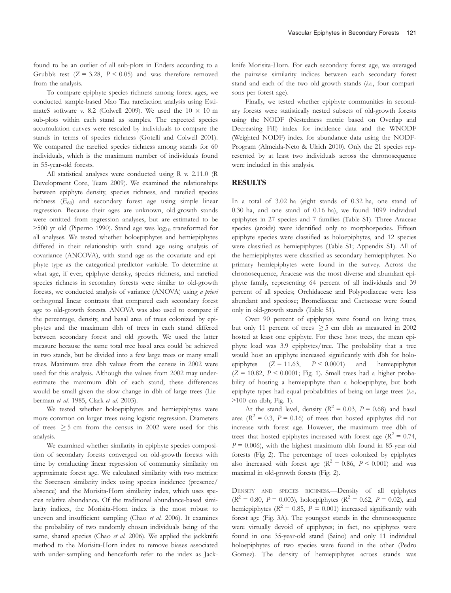found to be an outlier of all sub-plots in Enders according to a Grubb's test  $(Z = 3.28, P \le 0.05)$  and was therefore removed from the analysis.

To compare epiphyte species richness among forest ages, we conducted sample-based Mao Tau rarefaction analysis using EstimateS software v. 8.2 (Colwell 2009). We used the  $10 \times 10$  m sub-plots within each stand as samples. The expected species accumulation curves were rescaled by individuals to compare the stands in terms of species richness (Gotelli and Colwell 2001). We compared the rarefied species richness among stands for 60 individuals, which is the maximum number of individuals found in 55-year-old forests.

All statistical analyses were conducted using R v. 2.11.0 (R Development Core, Team 2009). We examined the relationships between epiphyte density, species richness, and rarefied species richness  $(E_{60})$  and secondary forest age using simple linear regression. Because their ages are unknown, old-growth stands were omitted from regression analyses, but are estimated to be  $>500$  yr old (Piperno 1990). Stand age was  $log_{10}$  transformed for all analyses. We tested whether holoepiphytes and hemiepiphytes differed in their relationship with stand age using analysis of covariance (ANCOVA), with stand age as the covariate and epiphyte type as the categorical predictor variable. To determine at what age, if ever, epiphyte density, species richness, and rarefied species richness in secondary forests were similar to old-growth forests, we conducted analysis of variance (ANOVA) using a priori orthogonal linear contrasts that compared each secondary forest age to old-growth forests. ANOVA was also used to compare if the percentage, density, and basal area of trees colonized by epiphytes and the maximum dbh of trees in each stand differed between secondary forest and old growth. We used the latter measure because the same total tree basal area could be achieved in two stands, but be divided into a few large trees or many small trees. Maximum tree dbh values from the census in 2002 were used for this analysis. Although the values from 2002 may underestimate the maximum dbh of each stand, these differences would be small given the slow change in dbh of large trees (Lieberman et al. 1985, Clark et al. 2003).

We tested whether holoepiphytes and hemiepiphytes were more common on larger trees using logistic regression. Diameters of trees  $\geq$  5 cm from the census in 2002 were used for this analysis.

We examined whether similarity in epiphyte species composition of secondary forests converged on old-growth forests with time by conducting linear regression of community similarity on approximate forest age. We calculated similarity with two metrics: the Sørensen similarity index using species incidence (presence/ absence) and the Morisita-Horn similarity index, which uses species relative abundance. Of the traditional abundance-based similarity indices, the Morisita-Horn index is the most robust to uneven and insufficient sampling (Chao et al. 2006). It examines the probability of two randomly chosen individuals being of the same, shared species (Chao et al. 2006). We applied the jackknife method to the Morisita-Horn index to remove biases associated with under-sampling and henceforth refer to the index as Jackknife Morisita-Horn. For each secondary forest age, we averaged the pairwise similarity indices between each secondary forest stand and each of the two old-growth stands (i.e., four comparisons per forest age).

Finally, we tested whether epiphyte communities in secondary forests were statistically nested subsets of old-growth forests using the NODF (Nestedness metric based on Overlap and Decreasing Fill) index for incidence data and the WNODF (Weighted NODF) index for abundance data using the NODF-Program (Almeida-Neto & Ulrich 2010). Only the 21 species represented by at least two individuals across the chronosequence were included in this analysis.

### **RESULTS**

In a total of 3.02 ha (eight stands of 0.32 ha, one stand of 0.30 ha, and one stand of 0.16 ha), we found 1099 individual epiphytes in 27 species and 7 families (Table S1). Three Araceae species (aroids) were identified only to morphospecies. Fifteen epiphyte species were classified as holoepiphytes, and 12 species were classified as hemiepiphytes (Table S1; Appendix S1). All of the hemiepiphytes were classified as secondary hemiepiphytes. No primary hemiepiphytes were found in the survey. Across the chronosequence, Araceae was the most diverse and abundant epiphyte family, representing 64 percent of all individuals and 39 percent of all species; Orchidaceae and Polypodiaceae were less abundant and speciose; Bromeliaceae and Cactaceae were found only in old-growth stands (Table S1).

Over 90 percent of epiphytes were found on living trees, but only 11 percent of trees  $\geq$  5 cm dbh as measured in 2002 hosted at least one epiphyte. For these host trees, the mean epiphyte load was 3.9 epiphytes/tree. The probability that a tree would host an epiphyte increased significantly with dbh for holoepiphytes  $(Z = 11.63, P < 0.0001)$  and hemiepiphytes  $(Z = 10.82, P \le 0.0001$ ; Fig. 1). Small trees had a higher probability of hosting a hemiepiphyte than a holoepiphyte, but both epiphyte types had equal probabilities of being on large trees (i.e., >100 cm dbh; Fig. 1).

At the stand level, density ( $R^2 = 0.03$ ,  $P = 0.68$ ) and basal area ( $R^2 = 0.3$ ,  $P = 0.16$ ) of trees that hosted epiphytes did not increase with forest age. However, the maximum tree dbh of trees that hosted epiphytes increased with forest age ( $R^2 = 0.74$ ,  $P = 0.006$ , with the highest maximum dbh found in 85-year-old forests (Fig. 2). The percentage of trees colonized by epiphytes also increased with forest age ( $R^2 = 0.86$ ,  $P < 0.001$ ) and was maximal in old-growth forests (Fig. 2).

DENSITY AND SPECIES RICHNESS.—Density of all epiphytes  $(R^{2} = 0.80, P = 0.003)$ , holoepiphytes  $(R^{2} = 0.62, P = 0.02)$ , and hemiepiphytes ( $R^2 = 0.85$ ,  $P = 0.001$ ) increased significantly with forest age (Fig. 3A). The youngest stands in the chronosequence were virtually devoid of epiphytes; in fact, no epiphytes were found in one 35-year-old stand (Saino) and only 11 individual holoepiphytes of two species were found in the other (Pedro Gomez). The density of hemiepiphytes across stands was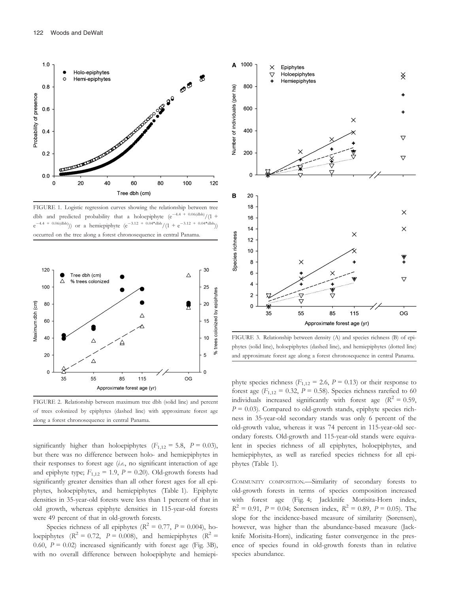

FIGURE 1. Logistic regression curves showing the relationship between tree dbh and predicted probability that a holoepiphyte  $(e^{-4.4 + 0.06(dbh)}/(1 +$  $e^{-4.4 + 0.06 \text{(dbh)}}$ ) or a hemiepiphyte  $(e^{-3.12 + 0.04* \text{dbh}}/(1 + e^{-3.12 + 0.04* \text{dbh}}))$ occurred on the tree along a forest chronosequence in central Panama.



FIGURE 2. Relationship between maximum tree dbh (solid line) and percent of trees colonized by epiphytes (dashed line) with approximate forest age along a forest chronosequence in central Panama.

significantly higher than holoepiphytes  $(F_{1,12} = 5.8, P = 0.03)$ , but there was no difference between holo- and hemiepiphytes in their responses to forest age (i.e., no significant interaction of age and epiphyte type;  $F_{1,12} = 1.9$ ,  $P = 0.20$ ). Old-growth forests had significantly greater densities than all other forest ages for all epiphytes, holoepiphytes, and hemiepiphytes (Table 1). Epiphyte densities in 35-year-old forests were less than 1 percent of that in old growth, whereas epiphyte densities in 115-year-old forests were 49 percent of that in old-growth forests.

Species richness of all epiphytes ( $R^2 = 0.77$ ,  $P = 0.004$ ), holoepiphytes ( $R^2 = 0.72$ ,  $P = 0.008$ ), and hemiepiphytes ( $R^2 =$ 0.60,  $P = 0.02$ ) increased significantly with forest age (Fig. 3B), with no overall difference between holoepiphyte and hemiepi-



FIGURE 3. Relationship between density (A) and species richness (B) of epiphytes (solid line), holoepiphytes (dashed line), and hemiepiphytes (dotted line) and approximate forest age along a forest chronosequence in central Panama.

phyte species richness ( $F_{1,12} = 2.6$ ,  $P = 0.13$ ) or their response to forest age ( $F_{1,12} = 0.32$ ,  $P = 0.58$ ). Species richness rarefied to 60 individuals increased significantly with forest age  $(R^2 = 0.59)$ ,  $P = 0.03$ ). Compared to old-growth stands, epiphyte species richness in 35-year-old secondary stands was only 6 percent of the old-growth value, whereas it was 74 percent in 115-year-old secondary forests. Old-growth and 115-year-old stands were equivalent in species richness of all epiphytes, holoepiphytes, and hemiepiphytes, as well as rarefied species richness for all epiphytes (Table 1).

COMMUNITY COMPOSITION.—Similarity of secondary forests to old-growth forests in terms of species composition increased with forest age (Fig. 4; Jackknife Morisita-Horn index,  $R^2 = 0.91$ ,  $P = 0.04$ ; Sørensen index,  $R^2 = 0.89$ ,  $P = 0.05$ ). The slope for the incidence-based measure of similarity (Sørensen), however, was higher than the abundance-based measure (Jackknife Morisita-Horn), indicating faster convergence in the presence of species found in old-growth forests than in relative species abundance.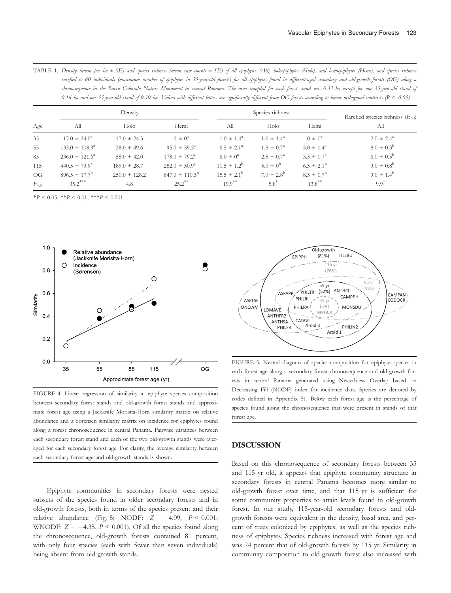|                        | rarefied to 60 individuals (maximum number of epiphytes in 55-year-old forests) for all epiphytes found in different-aged secondary and old-growth forests (OG) along a<br>chronosequence in the Barro Colorado Nature Monument in central Panama. The area sampled for each forest stand was 0.32 ha except for one 35-year-old stand of<br>0.16 ha and one 55-year-old stand of 0.30 ha. Values with different letters are significantly different from OG forests according to linear orthogonal contrasts $(P < 0.05)$ . |                   |                           |                        |                       |                            |                                      |
|------------------------|------------------------------------------------------------------------------------------------------------------------------------------------------------------------------------------------------------------------------------------------------------------------------------------------------------------------------------------------------------------------------------------------------------------------------------------------------------------------------------------------------------------------------|-------------------|---------------------------|------------------------|-----------------------|----------------------------|--------------------------------------|
| Age                    | Density                                                                                                                                                                                                                                                                                                                                                                                                                                                                                                                      |                   |                           | Species richness       |                       |                            | Rarefied species richness $(E_{60})$ |
|                        | All                                                                                                                                                                                                                                                                                                                                                                                                                                                                                                                          | Holo              | Hemi                      | All                    | Holo                  | Hemi                       | All                                  |
| 35                     | $17.0 \pm 24.0^{\circ}$                                                                                                                                                                                                                                                                                                                                                                                                                                                                                                      | $17.0 \pm 24.3$   | $0 \pm 0^a$               | $1.0 \pm 1.4^{\circ}$  | $1.0 \pm 1.4^{\circ}$ | $0 \pm 0^a$                | $2.0 \pm 2.4^{\circ}$                |
| 55                     | $133.0 \pm 108.9^{\circ}$                                                                                                                                                                                                                                                                                                                                                                                                                                                                                                    | $38.0 \pm 49.6$   | $95.0 \pm 59.3^{\circ}$   | $6.5 \pm 2.1^{\circ}$  | $1.5 \pm 0.7^{\circ}$ | $5.0 \pm 1.4^{\circ}$      | $8.0 \pm 0.3^{\rm b}$                |
| 85                     | $236.0 \pm 121.6^{\circ}$                                                                                                                                                                                                                                                                                                                                                                                                                                                                                                    | $58.0 \pm 42.0$   | $178.0 \pm 79.2^{\circ}$  | $6.0 \pm 0^4$          | $2.5 \pm 0.7^{\circ}$ | $3.5 \pm 0.7^{\circ}$      | $6.0 \pm 0.5^{\rm b}$                |
| 115                    | $440.5 \pm 79.9^{\circ}$                                                                                                                                                                                                                                                                                                                                                                                                                                                                                                     | $189.0 \pm 28.7$  | $252.0 \pm 50.9^{\circ}$  | $11.5 \pm 1.2^b$       | $5.0 \pm 0^{\rm b}$   | $6.5 \pm 2.1^{\rm b}$      | $9.0 \pm 0.8^{\rm b}$                |
| $\overline{\text{OG}}$ | $896.5 \pm 17.7^{\rm b}$                                                                                                                                                                                                                                                                                                                                                                                                                                                                                                     | $250.0 \pm 128.2$ | $647.0 \pm 110.3^{\rm b}$ | $15.5 \pm 2.1^{\rm b}$ | $7.0 \pm 2.8^{\rm b}$ | $8.5 \pm 0.7$ <sup>b</sup> | $9.0 \pm 1.4^{\rm b}$                |
| $F_{4,5}$              | $35.2$ ***                                                                                                                                                                                                                                                                                                                                                                                                                                                                                                                   | 4.8               | $25.2$ **                 | $19.9$ <sup>**</sup>   | $5.8^*$               | $13.8***$                  | $99*$                                |

TABLE 1. Density (mean per ha ± SE) and species richness (mean raw counts ± SE) of all epiphytes (All), holoepiphytes (Holo), and hemiepiphytes (Hemi), and species richness

 $*P < 0.05, **P < 0.01, **P < 0.001.$ 



FIGURE 4. Linear regression of similarity in epiphyte species composition between secondary forest stands and old-growth forest stands and approximate forest age using a Jackknife Morisita-Horn similarity matrix on relative abundance and a Sørensen similarity matrix on incidence for epiphytes found along a forest chronosequence in central Panama. Pairwise distances between each secondary forest stand and each of the two old-growth stands were averaged for each secondary forest age. For clarity, the average similarity between each secondary forest age and old-growth stands is shown.

Epiphyte communities in secondary forests were nested subsets of the species found in older secondary forests and in old-growth forests, both in terms of the species present and their relative abundance (Fig. 5; NODF:  $Z = -4.09$ ,  $P < 0.001$ ; WNODF:  $Z = -4.35$ ,  $P \le 0.001$ ). Of all the species found along the chronosequence, old-growth forests contained 81 percent, with only four species (each with fewer than seven individuals) being absent from old-growth stands.



FIGURE 5. Nested diagram of species composition for epiphyte species in each forest age along a secondary forest chronosequence and old-growth forests in central Panama generated using Nestedness Overlap based on Decreasing Fill (NODF) index for incidence data. Species are denoted by codes defined in Appendix S1. Below each forest age is the percentage of species found along the chronosequence that were present in stands of that forest age.

## DISCUSSION

Based on this chronosequence of secondary forests between 35 and 115 yr old, it appears that epiphyte community structure in secondary forests in central Panama becomes more similar to old-growth forest over time, and that 115 yr is sufficient for some community properties to attain levels found in old-growth forest. In our study, 115-year-old secondary forests and oldgrowth forests were equivalent in the density, basal area, and percent of trees colonized by epiphytes, as well as the species richness of epiphytes. Species richness increased with forest age and was 74 percent that of old-growth forests by 115 yr. Similarity in community composition to old-growth forest also increased with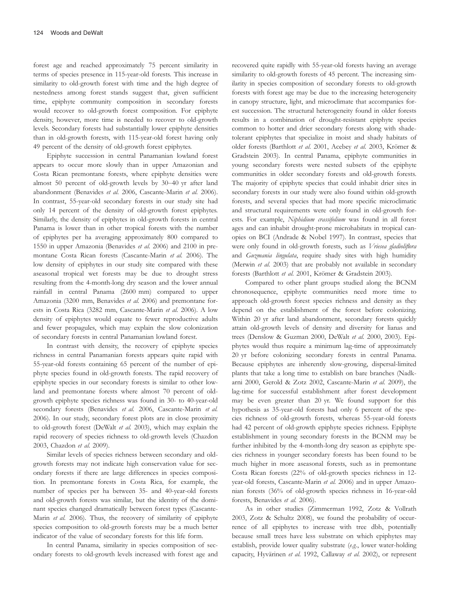forest age and reached approximately 75 percent similarity in terms of species presence in 115-year-old forests. This increase in similarity to old-growth forest with time and the high degree of nestedness among forest stands suggest that, given sufficient time, epiphyte community composition in secondary forests would recover to old-growth forest composition. For epiphyte density, however, more time is needed to recover to old-growth levels. Secondary forests had substantially lower epiphyte densities than in old-growth forests, with 115-year-old forest having only 49 percent of the density of old-growth forest epiphytes.

Epiphyte succession in central Panamanian lowland forest appears to occur more slowly than in upper Amazonian and Costa Rican premontane forests, where epiphyte densities were almost 50 percent of old-growth levels by 30–40 yr after land abandonment (Benavides et al. 2006, Cascante-Marin et al. 2006). In contrast, 55-year-old secondary forests in our study site had only 14 percent of the density of old-growth forest epiphytes. Similarly, the density of epiphytes in old-growth forests in central Panama is lower than in other tropical forests with the number of epiphytes per ha averaging approximately 800 compared to 1550 in upper Amazonia (Benavides et al. 2006) and 2100 in premontane Costa Rican forests (Cascante-Marin et al. 2006). The low density of epiphytes in our study site compared with these aseasonal tropical wet forests may be due to drought stress resulting from the 4-month-long dry season and the lower annual rainfall in central Panama (2600 mm) compared to upper Amazonia (3200 mm, Benavides et al. 2006) and premontane forests in Costa Rica (3282 mm, Cascante-Marin et al. 2006). A low density of epiphytes would equate to fewer reproductive adults and fewer propagules, which may explain the slow colonization of secondary forests in central Panamanian lowland forest.

In contrast with density, the recovery of epiphyte species richness in central Panamanian forests appears quite rapid with 55-year-old forests containing 65 percent of the number of epiphyte species found in old-growth forests. The rapid recovery of epiphyte species in our secondary forests is similar to other lowland and premontane forests where almost 70 percent of oldgrowth epiphyte species richness was found in 30- to 40-year-old secondary forests (Benavides et al. 2006, Cascante-Marin et al. 2006). In our study, secondary forest plots are in close proximity to old-growth forest (DeWalt et al. 2003), which may explain the rapid recovery of species richness to old-growth levels (Chazdon 2003, Chazdon et al. 2009).

Similar levels of species richness between secondary and oldgrowth forests may not indicate high conservation value for secondary forests if there are large differences in species composition. In premontane forests in Costa Rica, for example, the number of species per ha between 35- and 40-year-old forests and old-growth forests was similar, but the identity of the dominant species changed dramatically between forest types (Cascante-Marin et al. 2006). Thus, the recovery of similarity of epiphyte species composition to old-growth forests may be a much better indicator of the value of secondary forests for this life form.

In central Panama, similarity in species composition of secondary forests to old-growth levels increased with forest age and recovered quite rapidly with 55-year-old forests having an average similarity to old-growth forests of 45 percent. The increasing similarity in species composition of secondary forests to old-growth forests with forest age may be due to the increasing heterogeneity in canopy structure, light, and microclimate that accompanies forest succession. The structural heterogeneity found in older forests results in a combination of drought-resistant epiphyte species common to hotter and drier secondary forests along with shadetolerant epiphytes that specialize in moist and shady habitats of older forests (Barthlott et al. 2001, Acebey et al. 2003, Krömer & Gradstein 2003). In central Panama, epiphyte communities in young secondary forests were nested subsets of the epiphyte communities in older secondary forests and old-growth forests. The majority of epiphyte species that could inhabit drier sites in secondary forests in our study were also found within old-growth forests, and several species that had more specific microclimatic and structural requirements were only found in old-growth forests. For example, Niphidium crassifolium was found in all forest ages and can inhabit drought-prone microhabitats in tropical canopies on BCI (Andrade & Nobel 1997). In contrast, species that were only found in old-growth forests, such as Vriesea gladioliflora and Guzmania lingulata, require shady sites with high humidity (Merwin *et al.* 2003) that are probably not available in secondary forests (Barthlott et al. 2001, Krömer & Gradstein 2003).

Compared to other plant groups studied along the BCNM chronosequence, epiphyte communities need more time to approach old-growth forest species richness and density as they depend on the establishment of the forest before colonizing. Within 20 yr after land abandonment, secondary forests quickly attain old-growth levels of density and diversity for lianas and trees (Denslow & Guzman 2000, DeWalt et al. 2000, 2003). Epiphytes would thus require a minimum lag-time of approximately 20 yr before colonizing secondary forests in central Panama. Because epiphytes are inherently slow-growing, dispersal-limited plants that take a long time to establish on bare branches (Nadkarni 2000, Gerold & Zotz 2002, Cascante-Marin et al. 2009), the lag-time for successful establishment after forest development may be even greater than 20 yr. We found support for this hypothesis as 35-year-old forests had only 6 percent of the species richness of old-growth forests, whereas 55-year-old forests had 42 percent of old-growth epiphyte species richness. Epiphyte establishment in young secondary forests in the BCNM may be further inhibited by the 4-month-long dry season as epiphyte species richness in younger secondary forests has been found to be much higher in more aseasonal forests, such as in premontane Costa Rican forests (22% of old-growth species richness in 12 year-old forests, Cascante-Marin et al. 2006) and in upper Amazonian forests (36% of old-growth species richness in 16-year-old forests, Benavides et al. 2006).

As in other studies (Zimmerman 1992, Zotz & Vollrath 2003, Zotz & Schultz 2008), we found the probability of occurrence of all epiphytes to increase with tree dbh, potentially because small trees have less substrate on which epiphytes may establish, provide lower quality substrate (e.g., lower water-holding capacity, Hyvärinen et al. 1992, Callaway et al. 2002), or represent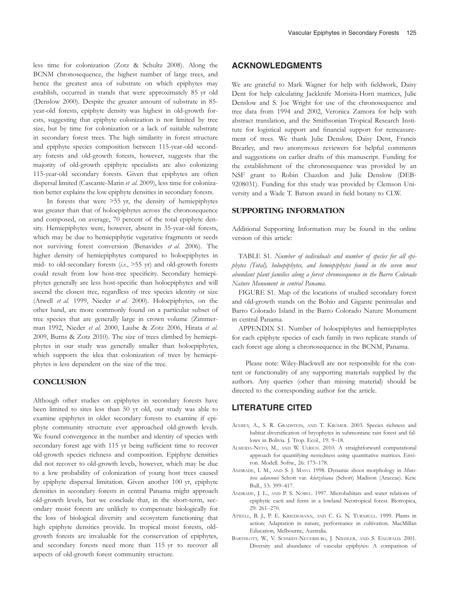less time for colonization (Zotz & Schultz 2008). Along the BCNM chronosequence, the highest number of large trees, and hence the greatest area of substrate on which epiphytes may establish, occurred in stands that were approximately 85 yr old (Denslow 2000). Despite the greater amount of substrate in 85 year-old forests, epiphyte density was highest in old-growth forests, suggesting that epiphyte colonization is not limited by tree size, but by time for colonization or a lack of suitable substrate in secondary forest trees. The high similarity in forest structure and epiphyte species composition between 115-year-old secondary forests and old-growth forests, however, suggests that the majority of old-growth epiphyte specialists are also colonizing 115-year-old secondary forests. Given that epiphytes are often dispersal limited (Cascante-Marin et al. 2009), less time for colonization better explains the low epiphyte densities in secondary forests.

In forests that were >55 yr, the density of hemiepiphytes was greater than that of holoepiphytes across the chronosequence and composed, on average, 70 percent of the total epiphyte density. Hemiepiphytes were, however, absent in 35-year-old forests, which may be due to hemiepiphytic vegetative fragments or seeds not surviving forest conversion (Benavides et al. 2006). The higher density of hemiepiphytes compared to holoepiphytes in mid- to old-secondary forests  $(i.e., >55 \text{ yr})$  and old-growth forests could result from low host-tree specificity. Secondary hemiepiphytes generally are less host-specific than holoepiphytes and will ascend the closest tree, regardless of tree species identity or size (Atwell et al. 1999, Nieder et al. 2000). Holoepiphytes, on the other hand, are more commonly found on a particular subset of tree species that are generally large in crown volume (Zimmerman 1992, Nieder et al. 2000, Laube & Zotz 2006, Hirata et al. 2009, Burns & Zotz 2010). The size of trees climbed by hemiepiphytes in our study was generally smaller than holoepiphytes, which supports the idea that colonization of trees by hemiepiphytes is less dependent on the size of the tree.

#### **CONCLUSION**

Although other studies on epiphytes in secondary forests have been limited to sites less than 50 yr old, our study was able to examine epiphytes in older secondary forests to examine if epiphyte community structure ever approached old-growth levels. We found convergence in the number and identity of species with secondary forest age with 115 yr being sufficient time to recover old-growth species richness and composition. Epiphyte densities did not recover to old-growth levels, however, which may be due to a low probability of colonization of young host trees caused by epiphyte dispersal limitation. Given another 100 yr, epiphyte densities in secondary forests in central Panama might approach old-growth levels, but we conclude that, in the short-term, secondary moist forests are unlikely to compensate biologically for the loss of biological diversity and ecosystem functioning that high epiphyte densities provide. In tropical moist forests, oldgrowth forests are invaluable for the conservation of epiphytes, and secondary forests need more than 115 yr to recover all aspects of old-growth forest community structure.

# ACKNOWLEDGMENTS

We are grateful to Mark Wagner for help with fieldwork, Daisy Dent for help calculating Jackknife Morisita-Horn matrices, Julie Denslow and S. Joe Wright for use of the chronosequence and tree data from 1994 and 2002, Veronica Zamora for help with abstract translation, and the Smithsonian Tropical Research Institute for logistical support and financial support for remeasurement of trees. We thank Julie Denslow, Daisy Dent, Francis Brearley, and two anonymous reviewers for helpful comments and suggestions on earlier drafts of this manuscript. Funding for the establishment of the chronosequence was provided by an NSF grant to Robin Chazdon and Julie Denslow (DEB-9208031). Funding for this study was provided by Clemson University and a Wade T. Batson award in field botany to CLW.

### SUPPORTING INFORMATION

Additional Supporting Information may be found in the online version of this article:

TABLE S1. Number of individuals and number of species for all epiphytes (Total), holoepiphytes, and hemiepiphytes found in the seven most abundant plant families along a forest chronosequence in the Barro Colorado Nature Monument in central Panama.

FIGURE S1. Map of the locations of studied secondary forest and old-growth stands on the Bohio and Gigante peninsulas and Barro Colorado Island in the Barro Colorado Nature Monument in central Panama.

APPENDIX S1. Number of holoepiphytes and hemiepiphytes for each epiphyte species of each family in two replicate stands of each forest age along a chronosequence in the BCNM, Panama.

Please note: Wiley-Blackwell are not responsible for the content or functionality of any supporting materials supplied by the authors. Any queries (other than missing material) should be directed to the corresponding author for the article.

### LITERATURE CITED

- ACEBEY, A., S. R. GRADSTEIN, AND T. KRÓMER. 2003. Species richness and habitat diversification of bryophytes in submontane rain forest and fallows in Bolivia. J. Trop. Ecol., 19: 9–18.
- ALMEIDA-NETO, M., AND W. ULRICH. 2010. A straightforward computational approach for quantifying nestedness using quantitative matrices. Environ. Modell. Softw., 26: 173–178.
- ANDRADE, I. M., AND S. J. MAYO. 1998. Dynamic shoot morphology in Monstera adansonii Schott var. klotzshiana (Schott) Madison (Araceae). Kew. Bull., 53: 399–417.
- ANDRADE, J. L., AND P. S. NOBEL. 1997. Microhabitats and water relations of epiphytic cacti and ferns in a lowland Neotropical forest. Biotropica, 29: 261–270.
- ATWELL, B. J., P. E. KRIEDEMANN, AND C. G. N. TURNBULL. 1999. Plants in action: Adaptation in nature, performance in cultivation. MacMillan Education, Melbourne, Australia.
- BARTHLOTT, W., V. SCHMIDT-NEUERBURG, J. NIEDLER, AND S. ENGWALD. 2001. Diversity and abundance of vascular epiphytes: A comparison of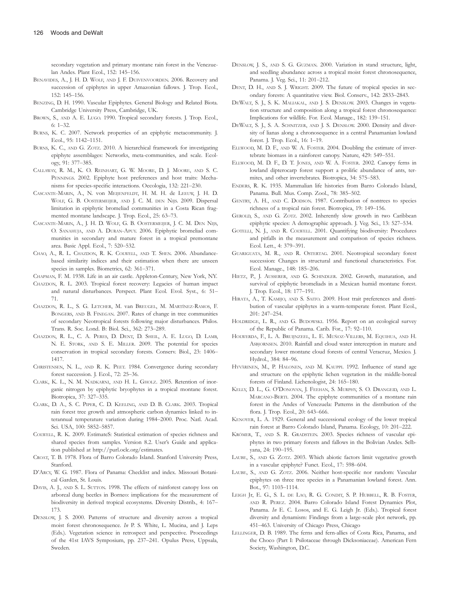secondary vegetation and primary montane rain forest in the Venezuelan Andes. Plant Ecol., 152: 145–156.

- BENAVIDES, A., J. H. D. WOLF, AND J. F. DUIVENVOORDEN. 2006. Recovery and succession of epiphytes in upper Amazonian fallows. J. Trop. Ecol., 152: 145–156.
- BENZING, D. H. 1990. Vascular Epiphytes. General Biology and Related Biota. Cambridge University Press, Cambridge, UK.
- BROWN, S., AND A. E. LUGO. 1990. Tropical secondary forests. J. Trop. Ecol., 6: 1–32.
- BURNS, K. C. 2007. Network properties of an epiphytic metacommunity. J. Ecol., 95: 1142–1151.
- BURNS, K. C., AND G. ZOTZ. 2010. A hierarchical framework for investigating epiphyte assemblages: Networks, meta-communities, and scale. Ecology, 91: 377–385.
- CALLAWAY, R. M., K. O. REINHART, G. W. MOORE, D. J. MOORE, AND S. C. PENNINGS. 2002. Epiphyte host preferences and host traits: Mechanisms for species-specific interactions. Oecologia, 132: 221–230.
- CASCANTE-MARIN, A., N. von MEIJENFELDT, H. M. H. de LEEUW, J. H. D. WOLF, G. B. OOSTERMEIJER, AND J. C. M. DEN NIJS. 2009. Dispersal limitation in epiphytic bromeliad communities in a Costa Rican fragmented montane landscape. J. Trop. Ecol., 25: 63–73.
- CASCANTE-MARIN, A., J. H. D. WOLF, G. B. OOSTERMEIJER, J. C. M. DEN NIJS, O. SANAHUJA, AND A. DURAN-APUY. 2006. Epiphytic bromeliad communities in secondary and mature forest in a tropical premontane area. Basic Appl. Ecol., 7: 520–532.
- CHAO, A., R. L. CHAZDON, R. K. COLWELL, AND T. SHEN. 2006. Abundancebased similarity indices and their estimation when there are unseen species in samples. Biometrics, 62: 361–371.
- CHAPMAN, F. M. 1938. Life in an air castle. Appleton-Century, New York, NY.
- CHAZDON, R. L. 2003. Tropical forest recovery: Legacies of human impact and natural disturbances. Perspect. Plant Ecol. Evol. Syst., 6: 51– 71.
- CHAZDON, R. L., S. G. LETCHER, M. van BREUGEL, M. MARTÍNEZ-RAMOS, F. BONGERS, AND B. FINEGAN. 2007. Rates of change in tree communities of secondary Neotropical forests following major disturbances. Philos. Trans. R. Soc. Lond. B: Biol. Sci., 362: 273–289.
- CHAZDON, R. L., C. A. PERES, D. DENT, D. SHEIL, A. E. LUGO, D. LAMB, N. E. STORK, AND S. E. MILLER. 2009. The potential for species conservation in tropical secondary forests. Conserv. Biol., 23: 1406– 1417.
- CHRISTENSEN, N. L., AND R. K. PEET. 1984. Convergence during secondary forest succession. J. Ecol., 72: 25–36.
- CLARK, K. L., N. M. NADKARNI, AND H. L. GHOLZ. 2005. Retention of inorganic nitrogen by epiphytic bryophytes in a tropical montane forest. Biotropica, 37: 327–335.
- CLARK, D. A., S. C. PIPER, C. D. KEELING, AND D. B. CLARK. 2003. Tropical rain forest tree growth and atmospheric carbon dynamics linked to interannual temperature variation during 1984–2000. Proc. Natl. Acad. Sci. USA, 100: 5852–5857.
- COLWELL, R. K. 2009. EstimateS: Statistical estimation of species richness and shared species from samples. Version 8.2. User's Guide and application published at http://purl.oclc.org/estimates.
- CROAT, T. B. 1978. Flora of Barro Colorado Island. Stanford University Press, Stanford.
- D'ARCY, W. G. 1987. Flora of Panama: Checklist and index. Missouri Botanical Garden, St. Louis.
- DAVIS, A. J., AND S. L. SUTTON. 1998. The effects of rainforest canopy loss on arboreal dung beetles in Borneo: implications for the measurement of biodiversity in derived tropical ecosystems. Diversity Distrib., 4: 167– 173.
- DENSLOW, J. S. 2000. Patterns of structure and diversity across a tropical moist forest chronosequence. In P. S. White, L. Mucina, and J. Leps (Eds.). Vegetation science in retrospect and perspective. Proceedings of the 41st IAVS Symposium, pp. 237–241. Opulus Press, Uppsala, Sweden.
- DENSLOW, J. S., AND S. G. GUZMAN. 2000. Variation in stand structure, light, and seedling abundance across a tropical moist forest chronosequence, Panama. J. Veg. Sci., 11: 201–212.
- DENT, D. H., AND S. J. WRIGHT. 2009. The future of tropical species in secondary forests: A quantitative view. Biol. Conserv., 142: 2833–2843.
- DEWALT, S. J., S. K. MALIAKAL, AND J. S. DENSLOW. 2003. Changes in vegetation structure and composition along a tropical forest chronosequence: Implications for wildlife. For. Ecol. Manage., 182: 139–151.
- DEWALT, S. J., S. A. SCHNITZER, AND J. S. DENSLOW. 2000. Density and diversity of lianas along a chronosequence in a central Panamanian lowland forest. J. Trop. Ecol., 16: 1–19.
- ELLWOOD, M. D. F., AND W. A. FOSTER. 2004. Doubling the estimate of invertebrate biomass in a rainforest canopy. Nature, 429: 549–551.
- ELLWOOD, M. D. F., D. T. JONES, AND W. A. FOSTER. 2002. Canopy ferns in lowland dipterocarp forest support a prolific abundance of ants, termites, and other invertebrates. Biotropica, 34: 575–583.
- ENDERS, R. K. 1935. Mammalian life histories from Barro Colorado Island, Panama. Bull. Mus. Comp. Zool., 78: 385–502.
- GENTRY, A. H., AND C. DODSON. 1987. Contribution of nontrees to species richness of a tropical rain forest. Biotropica, 19: 149–156.
- GEROLD, S., AND G. ZOTZ. 2002. Inherently slow growth in two Caribbean epiphytic species: A demographic approach. J. Veg. Sci., 13: 527–534.
- GOTELLI, N. J., AND R. COLWELL. 2001. Quantifying biodiversity: Procedures and pitfalls in the measurement and comparison of species richness. Ecol. Lett., 4: 379–391.
- GUARIGUATA, M. R., AND R. OSTERTAG. 2001. Neotropical secondary forest succession: Changes in structural and functional characteristics. For. Ecol. Manage., 148: 185–206.
- HIETZ, P., J. AUSSERER, AND G. SCHINDLER. 2002. Growth, maturation, and survival of epiphytic bromeliads in a Mexican humid montane forest. J. Trop. Ecol., 18: 177–191.
- HIRATA, A., T. KAMIJO, AND S. SAITO. 2009. Host trait preferences and distribution of vascular epiphytes in a warm-temperate forest. Plant Ecol., 201: 247–254.
- HOLDRIDGE, L. R., AND G. BUDOWSKI. 1956. Report on an ecological survey of the Republic of Panama. Carib. For., 17: 92–110.
- HOLWERDA, F., L. A. BRUIJNZEEL, L. E. MUÑOZ-VILLERS, M. EQUIHUA, AND H. ASBJORNSEN. 2010. Rainfall and cloud water interception in mature and secondary lower montane cloud forests of central Veracruz, Mexico. J. Hydrol., 384: 84–96.
- HYVÄRINEN, M., P. HALONEN, AND M. KAUPPI. 1992. Influence of stand age and structure on the epiphytic lichen vegetation in the middle-boreal forests of Finland. Lichenologist, 24: 165–180.
- KELLY, D. L., G. O'DONOVAN, J. FEEHAN, S. MURPHY, S. O. DRANGEID, AND L. MARCANO-BERTI. 2004. The epiphyte communities of a montane rain forest in the Andes of Venezuela: Patterns in the distribution of the flora. J. Trop. Ecol., 20: 643–666.
- KENOYER, L. A. 1929. General and successional ecology of the lower tropical rain forest at Barro Colorado Island, Panama. Ecology, 10: 201–222.
- KRÖMER, T., AND S. R. GRADSTEIN. 2003. Species richness of vascular epiphytes in two primary forests and fallows in the Bolivian Andes. Selbyana, 24: 190–195.
- LAUBE, S., AND G. ZOTZ. 2003. Which abiotic factors limit vegetative growth in a vascular epiphyte? Funct. Ecol., 17: 598–604.
- LAUBE, S., AND G. ZOTZ. 2006. Neither host-specific nor random: Vascular epiphytes on three tree species in a Panamanian lowland forest. Ann. Bot., 97: 1103–1114.
- LEIGH Jr, E. G., S. L. DE LAO, R. G. CONDIT, S. P. HUBBELL, R. B. FOSTER, AND R. PEREZ. 2004. Barro Colorado Island Forest Dynamics Plot, Panama. In E. C. Losos, and E. G. Leigh Jr. (Eds.). Tropical forest diversity and dynamism: Findings from a large-scale plot network, pp. 451–463. University of Chicago Press, Chicago
- LELLINGER, D. B. 1989. The ferns and fern-allies of Costa Rica, Panama, and the Choco (Part I: Psilotaceae through Dicksoniaceae). American Fern Society, Washington, D.C.